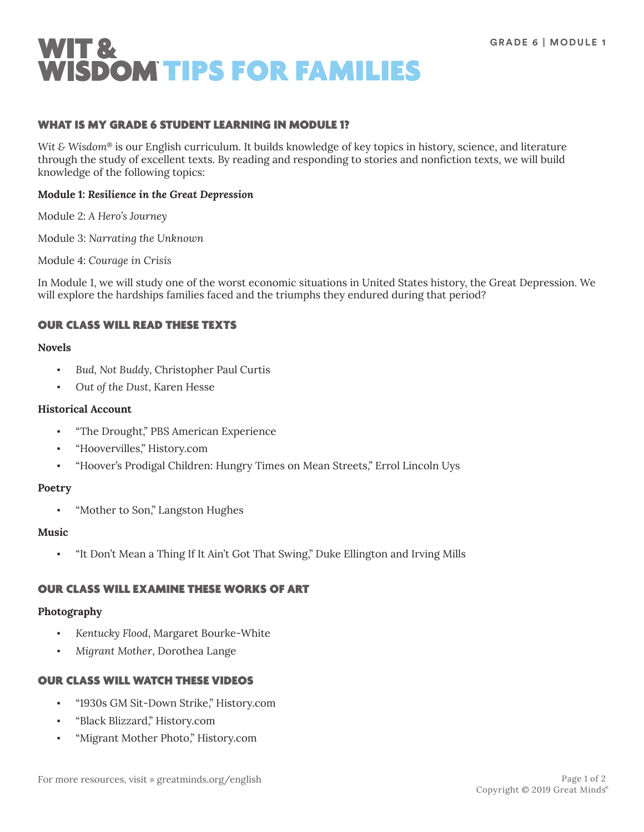

## WHAT IS MY GRADE 6 STUDENT LEARNING IN MODULE 1?

*Wit & Wisdom*® is our English curriculum. It builds knowledge of key topics in history, science, and literature through the study of excellent texts. By reading and responding to stories and nonfiction texts, we will build knowledge of the following topics:

### **Module 1:** *Resilience in the Great Depression*

Module 2: *A Hero's Journey*

Module 3: *Narrating the Unknown*

Module 4: *Courage in Crisis*

In Module 1, we will study one of the worst economic situations in United States history, the Great Depression. We will explore the hardships families faced and the triumphs they endured during that period?

## OUR CLASS WILL READ THESE TEXTS

### **Novels**

- Bud, Not Buddy, Christopher Paul Curtis
- Out of the Dust, Karen Hesse

#### **Historical Account**

- "The Drought," PBS American Experience
- "Hoovervilles," History.com
- "Hoover's Prodigal Children: Hungry Times on Mean Streets," Errol Lincoln Uys

#### **Poetry**

"Mother to Son," Langston Hughes

#### **Music**

"It Don't Mean a Thing If It Ain't Got That Swing," Duke Ellington and Irving Mills

# OUR CLASS WILL EXAMINE THESE WORKS OF ART

#### **Photography**

- *Kentucky Flood*, Margaret Bourke-White
- *Migrant Mother*, Dorothea Lange

## OUR CLASS WILL WATCH THESE VIDEOS

- "1930s GM Sit-Down Strike," History.com
- "Black Blizzard," History.com
- "Migrant Mother Photo," History.com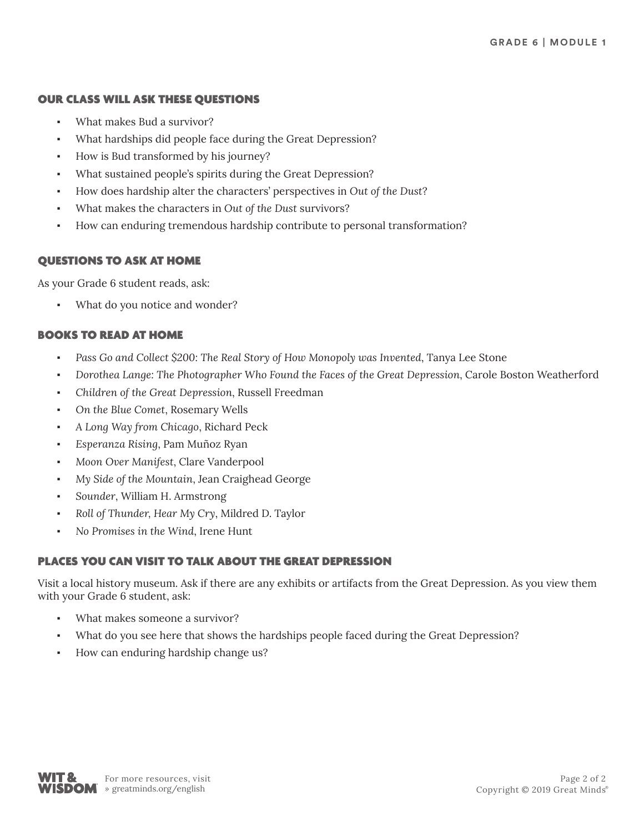## OUR CLASS WILL ASK THESE QUESTIONS

- What makes Bud a survivor?
- What hardships did people face during the Great Depression?
- How is Bud transformed by his journey?
- What sustained people's spirits during the Great Depression?
- How does hardship alter the characters' perspectives in *Out of the Dust*?
- What makes the characters in *Out of the Dust* survivors?
- How can enduring tremendous hardship contribute to personal transformation?

# QUESTIONS TO ASK AT HOME

As your Grade 6 student reads, ask:

What do you notice and wonder?

# BOOKS TO READ AT HOME

- Pass Go and Collect \$200: The Real Story of How Monopoly was Invented, Tanya Lee Stone
- *Dorothea Lange: The Photographer Who Found the Faces of the Great Depression*, Carole Boston Weatherford
- *Children of the Great Depression*, Russell Freedman
- On the Blue Comet, Rosemary Wells
- *A Long Way from Chicago*, Richard Peck
- *Esperanza Rising*, Pam Muñoz Ryan
- *Moon Over Manifest*, Clare Vanderpool
- *My Side of the Mountain*, Jean Craighead George
- Sounder, William H. Armstrong
- Roll of Thunder, Hear My Cry, Mildred D. Taylor
- *No Promises in the Wind*, Irene Hunt

# PLACES YOU CAN VISIT TO TALK ABOUT THE GREAT DEPRESSION

Visit a local history museum. Ask if there are any exhibits or artifacts from the Great Depression. As you view them with your Grade 6 student, ask:

- What makes someone a survivor?
- What do you see here that shows the hardships people faced during the Great Depression?
- How can enduring hardship change us?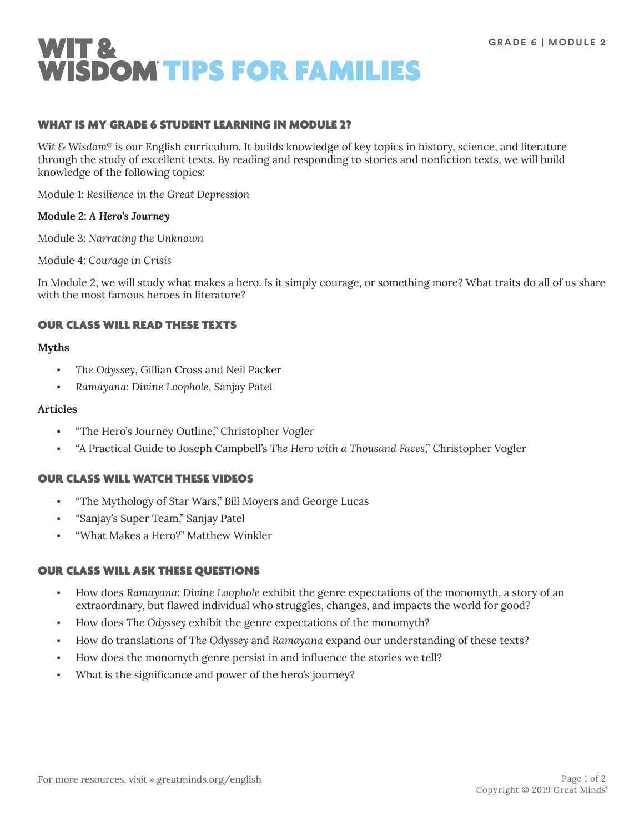

## WHAT IS MY GRADE 6 STUDENT LEARNING IN MODULE 2?

*Wit & Wisdom*® is our English curriculum. It builds knowledge of key topics in history, science, and literature through the study of excellent texts. By reading and responding to stories and nonfiction texts, we will build knowledge of the following topics:

Module 1: *Resilience in the Great Depression*

### **Module 2:** *A Hero's Journey*

Module 3: *Narrating the Unknown*

Module 4: *Courage in Crisis*

In Module 2, we will study what makes a hero. Is it simply courage, or something more? What traits do all of us share with the most famous heroes in literature?

## OUR CLASS WILL READ THESE TEXTS

### **Myths**

- The Odyssey, Gillian Cross and Neil Packer
- *Ramayana: Divine Loophole*, Sanjay Patel

#### **Articles**

- "The Hero's Journey Outline," Christopher Vogler
- "A Practical Guide to Joseph Campbell's *The Hero with a Thousand Faces*," Christopher Vogler

## OUR CLASS WILL WATCH THESE VIDEOS

- "The Mythology of Star Wars," Bill Moyers and George Lucas
- "Sanjay's Super Team," Sanjay Patel
- "What Makes a Hero?" Matthew Winkler

## OUR CLASS WILL ASK THESE QUESTIONS

- How does *Ramayana: Divine Loophole* exhibit the genre expectations of the monomyth, a story of an extraordinary, but flawed individual who struggles, changes, and impacts the world for good?
- How does The Odyssey exhibit the genre expectations of the monomyth?
- How do translations of *The Odyssey* and *Ramayana* expand our understanding of these texts?
- How does the monomyth genre persist in and influence the stories we tell?
- What is the significance and power of the hero's journey?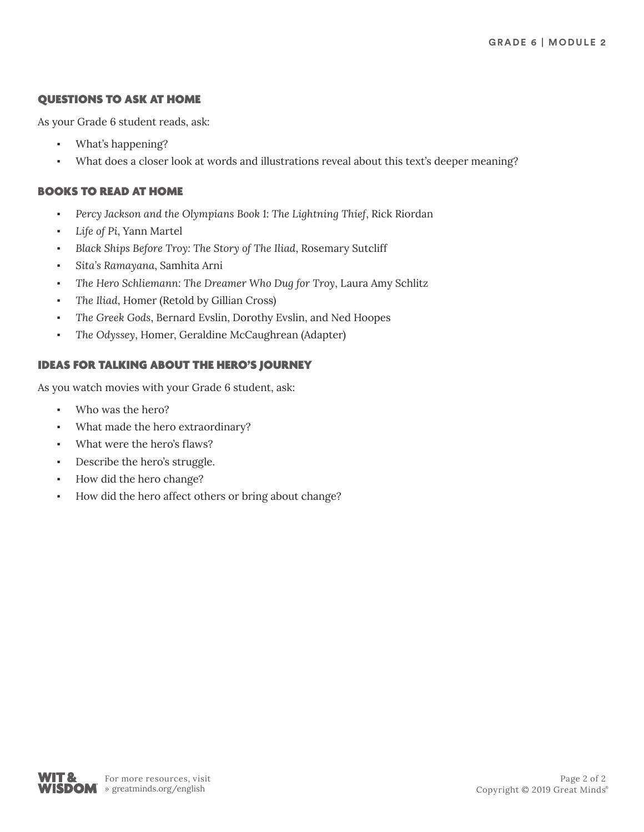# QUESTIONS TO ASK AT HOME

As your Grade 6 student reads, ask:

- What's happening?
- What does a closer look at words and illustrations reveal about this text's deeper meaning?

# BOOKS TO READ AT HOME

- Percy Jackson and the Olympians Book 1: The Lightning Thief, Rick Riordan
- Life of Pi, Yann Martel
- *Black Ships Before Troy: The Story of The Iliad*, Rosemary Sutcliff
- *Sita's Ramayana*, Samhita Arni
- *The Hero Schliemann: The Dreamer Who Dug for Troy*, Laura Amy Schlitz
- The Iliad, Homer (Retold by Gillian Cross)
- *The Greek Gods*, Bernard Evslin, Dorothy Evslin, and Ned Hoopes
- The Odyssey, Homer, Geraldine McCaughrean (Adapter)

# IDEAS FOR TALKING ABOUT THE HERO'S JOURNEY

As you watch movies with your Grade 6 student, ask:

- Who was the hero?
- What made the hero extraordinary?
- What were the hero's flaws?
- Describe the hero's struggle.
- How did the hero change?
- How did the hero affect others or bring about change?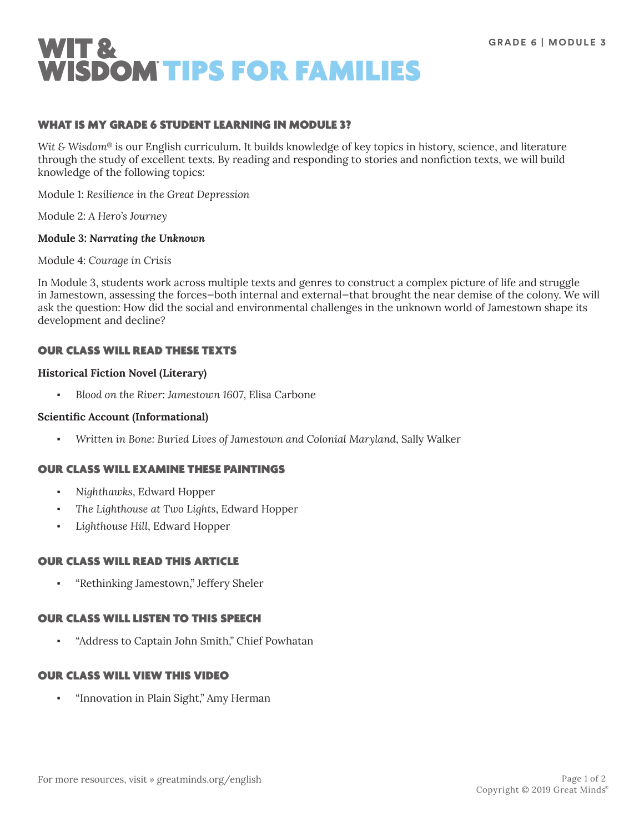

## WHAT IS MY GRADE 6 STUDENT LEARNING IN MODULE 3?

*Wit & Wisdom*® is our English curriculum. It builds knowledge of key topics in history, science, and literature through the study of excellent texts. By reading and responding to stories and nonfiction texts, we will build knowledge of the following topics:

Module 1: *Resilience in the Great Depression*

Module 2: *A Hero's Journey*

### **Module 3:** *Narrating the Unknown*

Module 4: *Courage in Crisis*

In Module 3, students work across multiple texts and genres to construct a complex picture of life and struggle in Jamestown, assessing the forces—both internal and external—that brought the near demise of the colony. We will ask the question: How did the social and environmental challenges in the unknown world of Jamestown shape its development and decline?

## OUR CLASS WILL READ THESE TEXTS

### **Historical Fiction Novel (Literary)**

▪ *Blood on the River: Jamestown 1607*, Elisa Carbone

#### **Scientific Account (Informational)**

▪ *Written in Bone: Buried Lives of Jamestown and Colonial Maryland*, Sally Walker

## OUR CLASS WILL EXAMINE THESE PAINTINGS

- *Nighthawks*, Edward Hopper
- *The Lighthouse at Two Lights*, Edward Hopper
- Lighthouse Hill, Edward Hopper

## OUR CLASS WILL READ THIS ARTICLE

▪ "Rethinking Jamestown," Jeffery Sheler

## OUR CLASS WILL LISTEN TO THIS SPEECH

"Address to Captain John Smith," Chief Powhatan

## OUR CLASS WILL VIEW THIS VIDEO

"Innovation in Plain Sight," Amy Herman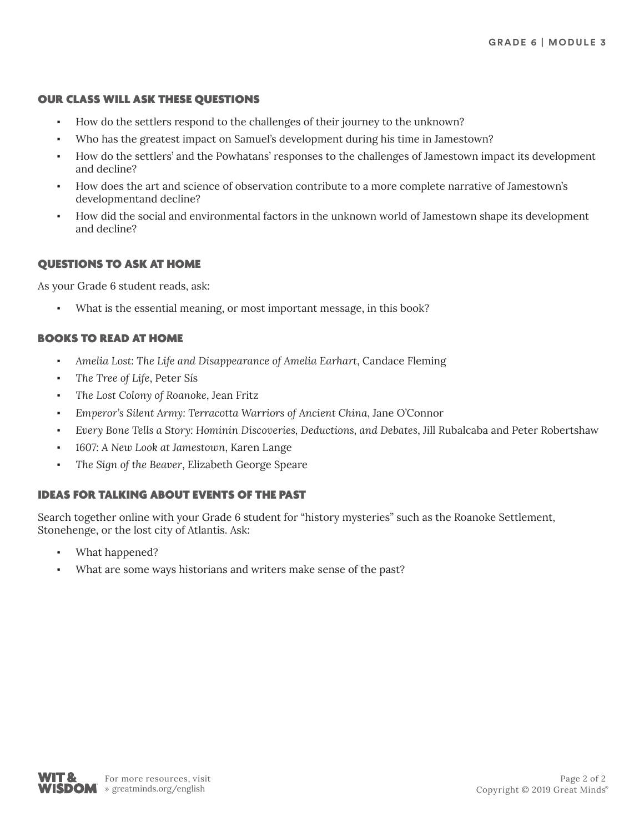## OUR CLASS WILL ASK THESE QUESTIONS

- How do the settlers respond to the challenges of their journey to the unknown?
- Who has the greatest impact on Samuel's development during his time in Jamestown?
- How do the settlers' and the Powhatans' responses to the challenges of Jamestown impact its development and decline?
- How does the art and science of observation contribute to a more complete narrative of Jamestown's developmentand decline?
- How did the social and environmental factors in the unknown world of Jamestown shape its development and decline?

### QUESTIONS TO ASK AT HOME

As your Grade 6 student reads, ask:

What is the essential meaning, or most important message, in this book?

## BOOKS TO READ AT HOME

- Amelia Lost: The Life and Disappearance of Amelia Earhart, Candace Fleming
- The Tree of Life, Peter Sís
- *The Lost Colony of Roanoke*, Jean Fritz
- *Emperor's Silent Army: Terracotta Warriors of Ancient China*, Jane O'Connor
- *Every Bone Tells a Story: Hominin Discoveries, Deductions, and Debates*, Jill Rubalcaba and Peter Robertshaw
- *1607: A New Look at Jamestown*, Karen Lange
- The Sign of the Beaver, Elizabeth George Speare

## IDEAS FOR TALKING ABOUT EVENTS OF THE PAST

Search together online with your Grade 6 student for "history mysteries" such as the Roanoke Settlement, Stonehenge, or the lost city of Atlantis. Ask:

- What happened?
- What are some ways historians and writers make sense of the past?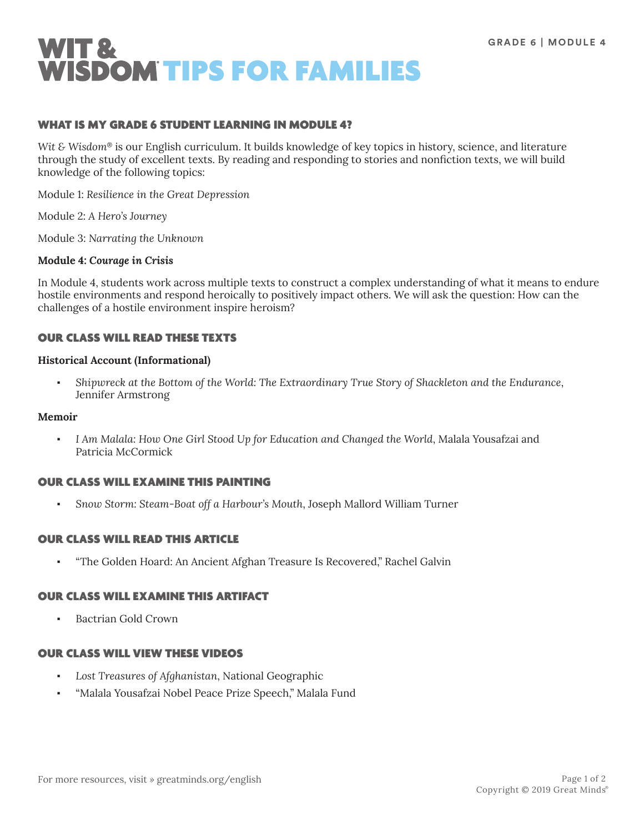

## WHAT IS MY GRADE 6 STUDENT LEARNING IN MODULE 4?

*Wit & Wisdom*® is our English curriculum. It builds knowledge of key topics in history, science, and literature through the study of excellent texts. By reading and responding to stories and nonfiction texts, we will build knowledge of the following topics:

Module 1: *Resilience in the Great Depression*

Module 2: *A Hero's Journey*

Module 3: *Narrating the Unknown*

### **Module 4:** *Courage in Crisis*

In Module 4, students work across multiple texts to construct a complex understanding of what it means to endure hostile environments and respond heroically to positively impact others. We will ask the question: How can the challenges of a hostile environment inspire heroism?

# OUR CLASS WILL READ THESE TEXTS

#### **Historical Account (Informational)**

▪ *Shipwreck at the Bottom of the World: The Extraordinary True Story of Shackleton and the Endurance*, Jennifer Armstrong

#### **Memoir**

I Am Malala: How One Girl Stood Up for Education and Changed the World, Malala Yousafzai and Patricia McCormick

## OUR CLASS WILL EXAMINE THIS PAINTING

▪ *Snow Storm: Steam-Boat off a Harbour's Mouth*, Joseph Mallord William Turner

## OUR CLASS WILL READ THIS ARTICLE

▪ "The Golden Hoard: An Ancient Afghan Treasure Is Recovered," Rachel Galvin

## OUR CLASS WILL EXAMINE THIS ARTIFACT

**Bactrian Gold Crown** 

# OUR CLASS WILL VIEW THESE VIDEOS

- Lost Treasures of Afghanistan, National Geographic
- "Malala Yousafzai Nobel Peace Prize Speech," Malala Fund